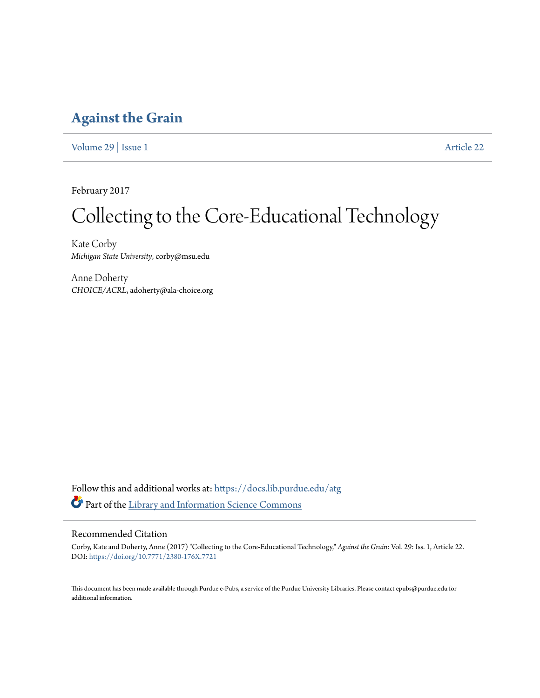### **[Against the Grain](https://docs.lib.purdue.edu/atg?utm_source=docs.lib.purdue.edu%2Fatg%2Fvol29%2Fiss1%2F22&utm_medium=PDF&utm_campaign=PDFCoverPages)**

[Volume 29](https://docs.lib.purdue.edu/atg/vol29?utm_source=docs.lib.purdue.edu%2Fatg%2Fvol29%2Fiss1%2F22&utm_medium=PDF&utm_campaign=PDFCoverPages) | [Issue 1](https://docs.lib.purdue.edu/atg/vol29/iss1?utm_source=docs.lib.purdue.edu%2Fatg%2Fvol29%2Fiss1%2F22&utm_medium=PDF&utm_campaign=PDFCoverPages) [Article 22](https://docs.lib.purdue.edu/atg/vol29/iss1/22?utm_source=docs.lib.purdue.edu%2Fatg%2Fvol29%2Fiss1%2F22&utm_medium=PDF&utm_campaign=PDFCoverPages)

February 2017

## Collecting to the Core-Educational Technology

Kate Corby *Michigan State University*, corby@msu.edu

Anne Doherty *CHOICE/ACRL*, adoherty@ala-choice.org

Follow this and additional works at: [https://docs.lib.purdue.edu/atg](https://docs.lib.purdue.edu/atg?utm_source=docs.lib.purdue.edu%2Fatg%2Fvol29%2Fiss1%2F22&utm_medium=PDF&utm_campaign=PDFCoverPages) Part of the [Library and Information Science Commons](http://network.bepress.com/hgg/discipline/1018?utm_source=docs.lib.purdue.edu%2Fatg%2Fvol29%2Fiss1%2F22&utm_medium=PDF&utm_campaign=PDFCoverPages)

### Recommended Citation

Corby, Kate and Doherty, Anne (2017) "Collecting to the Core-Educational Technology," *Against the Grain*: Vol. 29: Iss. 1, Article 22. DOI: <https://doi.org/10.7771/2380-176X.7721>

This document has been made available through Purdue e-Pubs, a service of the Purdue University Libraries. Please contact epubs@purdue.edu for additional information.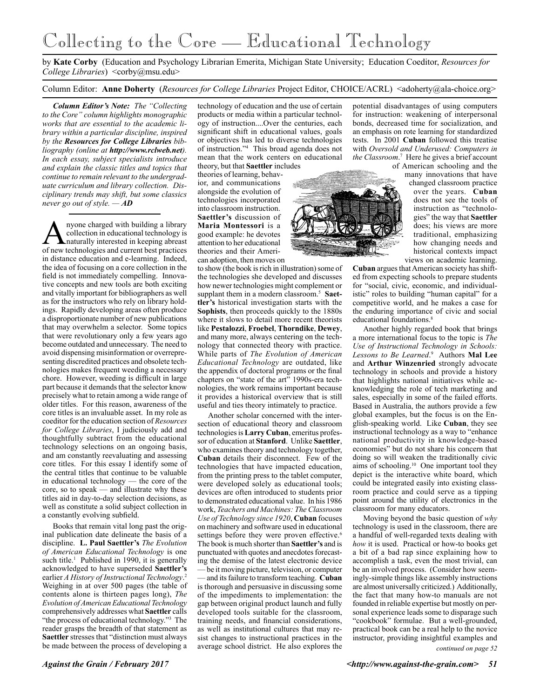### Collecting to the Core — Educational Technology

by **Kate Corby** (Education and Psychology Librarian Emerita, Michigan State University; Education Coeditor, *Resources for College Libraries*) <corby@msu.edu>

Column Editor: **Anne Doherty** (*Resources for College Libraries* Project Editor, CHOICE/ACRL) <adoherty@ala-choice.org>

*Column Editor's Note: The "Collecting to the Core" column highlights monographic works that are essential to the academic library within a particular discipline, inspired by the Resources for College Libraries bibliography (online at http://www.rclweb.net). In each essay, subject specialists introduce and explain the classic titles and topics that continue to remain relevant to the undergraduate curriculum and library collection. Disciplinary trends may shift, but some classics never go out of style. — AD*

A nyone charged with building a library<br>collection in educational technology is<br>naturally interested in keeping abreast<br>of new technologies and current best practices collection in educational technology is naturally interested in keeping abreast of new technologies and current best practices in distance education and e-learning. Indeed, the idea of focusing on a core collection in the field is not immediately compelling. Innovative concepts and new tools are both exciting and vitally important for bibliographers as well as for the instructors who rely on library holdings. Rapidly developing areas often produce a disproportionate number of new publications that may overwhelm a selector. Some topics that were revolutionary only a few years ago become outdated and unnecessary. The need to avoid dispensing misinformation or overrepresenting discredited practices and obsolete technologies makes frequent weeding a necessary chore. However, weeding is difficult in large part because it demands that the selector know precisely what to retain among a wide range of older titles. For this reason, awareness of the core titles is an invaluable asset. In my role as coeditor for the education section of *Resources for College Libraries*, I judiciously add and thoughtfully subtract from the educational technology selections on an ongoing basis, and am constantly reevaluating and assessing core titles. For this essay I identify some of the central titles that continue to be valuable in educational technology — the core of the core, so to speak — and illustrate why these titles aid in day-to-day selection decisions, as well as constitute a solid subject collection in a constantly evolving subfield.

Books that remain vital long past the original publication date delineate the basis of a discipline. **L. Paul Saettler's** *The Evolution of American Educational Technology* is one such title.<sup>1</sup> Published in 1990, it is generally acknowledged to have superseded **Saettler's** earlier *A History of Instructional Technology*. 2 Weighing in at over 500 pages (the table of contents alone is thirteen pages long), *The Evolution of American Educational Technology* comprehensively addresses what **Saettler** calls "the process of educational technology."3 The reader grasps the breadth of that statement as **Saettler** stresses that "distinction must always be made between the process of developing a

technology of education and the use of certain products or media within a particular technology of instruction....Over the centuries, each significant shift in educational values, goals or objectives has led to diverse technologies of instruction."4 This broad agenda does not mean that the work centers on educational theory, but that **Saettler** includes

theories of learning, behavior, and communications alongside the evolution of technologies incorporated into classroom instruction. **Saettler's** discussion of **Maria Montessori** is a good example: he devotes attention to her educational theories and their American adoption, then moves on

to show (the book is rich in illustration) some of the technologies she developed and discusses how newer technologies might complement or supplant them in a modern classroom.<sup>5</sup> Saet**tler's** historical investigation starts with the **Sophists**, then proceeds quickly to the 1880s where it slows to detail more recent theorists like **Pestalozzi**, **Froebel**, **Thorndike**, **Dewey**, and many more, always centering on the technology that connected theory with practice. While parts of *The Evolution of American Educational Technology* are outdated, like the appendix of doctoral programs or the final chapters on "state of the art" 1990s-era technologies, the work remains important because it provides a historical overview that is still useful and ties theory intimately to practice.

Another scholar concerned with the intersection of educational theory and classroom technologies is **Larry Cuban**, emeritus professor of education at **Stanford**. Unlike **Saettler**, who examines theory and technology together, **Cuban** details their disconnect. Few of the technologies that have impacted education, from the printing press to the tablet computer, were developed solely as educational tools; devices are often introduced to students prior to demonstrated educational value. In his 1986 work, *Teachers and Machines: The Classroom Use of Technology since 1920*, **Cuban** focuses on machinery and software used in educational settings before they were proven effective.<sup>6</sup> The book is much shorter than **Saettler's** and is punctuated with quotes and anecdotes forecasting the demise of the latest electronic device — be it moving picture, television, or computer — and its failure to transform teaching. **Cuban** is thorough and persuasive in discussing some of the impediments to implementation: the gap between original product launch and fully developed tools suitable for the classroom, training needs, and financial considerations, as well as institutional cultures that may resist changes to instructional practices in the average school district. He also explores the

potential disadvantages of using computers for instruction: weakening of interpersonal bonds, decreased time for socialization, and an emphasis on rote learning for standardized tests. In 2001 **Cuban** followed this treatise with *Oversold and Underused: Computers in the Classroom*. 7 Here he gives a brief account

of American schooling and the many innovations that have changed classroom practice over the years. **Cuban** does not see the tools of instruction as "technologies" the way that **Saettler** does; his views are more traditional, emphasizing how changing needs and historical contexts impact views on academic learning.

**Cuban** argues that American society has shifted from expecting schools to prepare students for "social, civic, economic, and individualistic" roles to building "human capital" for a competitive world, and he makes a case for the enduring importance of civic and social educational foundations.<sup>8</sup>

Another highly regarded book that brings a more international focus to the topic is *The Use of Instructional Technology in Schools: Lessons to Be Learned*. 9 Authors **Mal Lee** and **Arthur Winzenried** strongly advocate technology in schools and provide a history that highlights national initiatives while acknowledging the role of tech marketing and sales, especially in some of the failed efforts. Based in Australia, the authors provide a few global examples, but the focus is on the English-speaking world. Like **Cuban**, they see instructional technology as a way to "enhance national productivity in knowledge-based economies" but do not share his concern that doing so will weaken the traditionally civic aims of schooling.10 One important tool they depict is the interactive white board, which could be integrated easily into existing classroom practice and could serve as a tipping point around the utility of electronics in the classroom for many educators.

Moving beyond the basic question of *why* technology is used in the classroom, there are a handful of well-regarded texts dealing with *how* it is used. Practical or how-to books get a bit of a bad rap since explaining how to accomplish a task, even the most trivial, can be an involved process. (Consider how seemingly-simple things like assembly instructions are almost universally criticized.) Additionally, the fact that many how-to manuals are not founded in reliable expertise but mostly on personal experience leads some to disparage such "cookbook" formulae. But a well-grounded, practical book can be a real help to the novice instructor, providing insightful examples and

*continued on page 52*